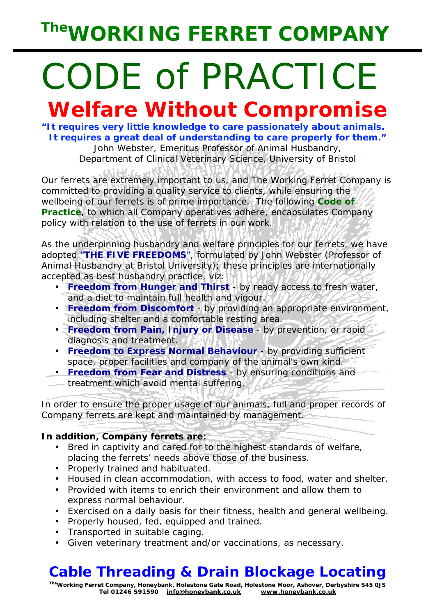# *The***WORKING FERRET COMPANY**

# CODE of PRACTICE

## *Welfare Without Compromise*

**"It requires very little knowledge to care passionately about animals. It requires a great deal of understanding to care properly for them."**  John Webster, Emeritus Professor of Animal Husbandry, Department of Clinical Veterinary Science, University of Bristol

Our ferrets are extremely important to us, and The Working Ferret Company is committed to providing a quality service to clients, while ensuring the wellbeing of our ferrets is of prime importance. The following *Code of Practice*, to which all Company operatives adhere, encapsulates Company policy with relation to the use of ferrets in our work.

As the underpinning husbandry and welfare principles for our ferrets, we have adopted "**THE FIVE FREEDOMS**", formulated by John Webster (Professor of Animal Husbandry at Bristol University); these principles are internationally accepted as best husbandry practice, viz:

- **Freedom from Hunger and Thirst** by ready access to fresh water, and a diet to maintain full health and vigour.
- **Freedom from Discomfort** by providing an appropriate environment, including shelter and a comfortable resting area.
- **Freedom from Pain, Injury or Disease** by prevention, or rapid diagnosis and treatment.
- **Freedom to Express Normal Behaviour** by providing sufficient space, proper facilities and company of the animal's own kind.
- **Freedom from Fear and Distress** by ensuring conditions and
- treatment which avoid mental suffering.

In order to ensure the proper usage of our animals, full and proper records of Company ferrets are kept and maintained by management.

## **In addition, Company ferrets are:**

- Bred in captivity and cared for to the highest standards of welfare, placing the ferrets' needs above those of the business.
- Properly trained and habituated.
- Housed in clean accommodation, with access to food, water and shelter.
- Provided with items to enrich their environment and allow them to express normal behaviour.
- Exercised on a daily basis for their fitness, health and general wellbeing.
- Properly housed, fed, equipped and trained.
- Transported in suitable caging.
- Given veterinary treatment and/or vaccinations, as necessary.

## **Cable Threading & Drain Blockage Locating**